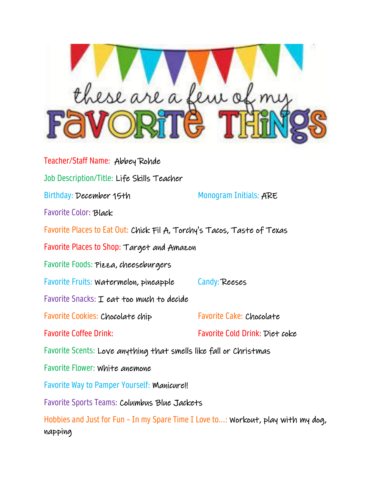

Teacher/Staff Name: Abbey Rohde Job Description/Title: Life Skills Teacher Birthday: December 15th Monogram Initials: ARE Favorite Color: Black Favorite Places to Eat Out: Chick Fil A, Torchy's Tacos, Taste of Texas Favorite Places to Shop: Target and Amazon Favorite Foods: Pizza, cheeseburgers Favorite Fruits: Watermelon, pineapple Candy: Reeses Favorite Snacks: I eat too much to decide Favorite Cookies: Chocolate chip Favorite Cake: Chocolate Favorite Coffee Drink: Favorite Cold Drink: Diet coke Favorite Scents: Love anything that smells like fall or Christmas Favorite Flower: White anemone Favorite Way to Pamper Yourself: Manicure!! Favorite Sports Teams: Columbus Blue Jackets Hobbies and Just for Fun – In my Spare Time I Love to...: Workout, play with my dog, napping